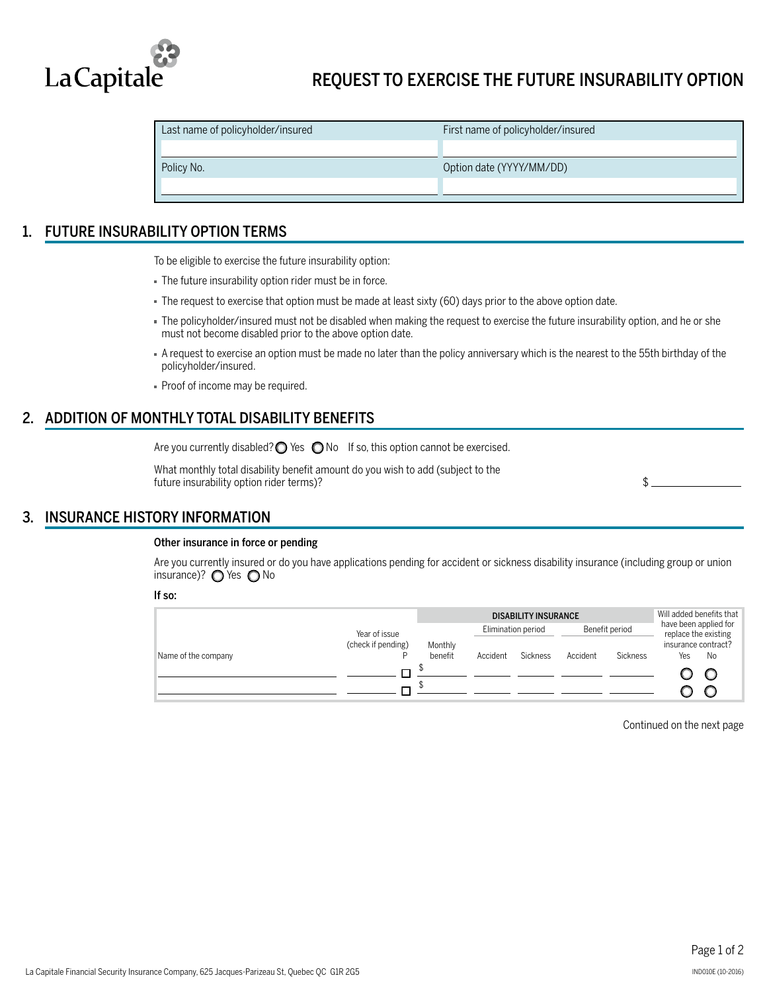

| Last name of policyholder/insured | First name of policyholder/insured |
|-----------------------------------|------------------------------------|
|                                   |                                    |
| Policy No.                        | Option date (YYYY/MM/DD)           |
|                                   |                                    |

## 1. FUTURE INSURABILITY OPTION TERMS

To be eligible to exercise the future insurability option:

- The future insurability option rider must be in force.
- The request to exercise that option must be made at least sixty (60) days prior to the above option date.
- The policyholder/insured must not be disabled when making the request to exercise the future insurability option, and he or she must not become disabled prior to the above option date.
- A request to exercise an option must be made no later than the policy anniversary which is the nearest to the 55th birthday of the policyholder/insured.
- Proof of income may be required.

# 2. ADDITION OF MONTHLY TOTAL DISABILITY BENEFITS

Are you currently disabled? $\bigcirc$  Yes  $\bigcirc$  No If so, this option cannot be exercised.

What monthly total disability benefit amount do you wish to add (subject to the future insurability option rider terms)? \$

## 3. INSURANCE HISTORY INFORMATION

#### Other insurance in force or pending

Are you currently insured or do you have applications pending for accident or sickness disability insurance (including group or union insurance)?  $\bigcirc$  Yes  $\bigcirc$  No

#### If so:

|                     |                    |                    | Will added benefits that |                 |                |                 |                                               |    |
|---------------------|--------------------|--------------------|--------------------------|-----------------|----------------|-----------------|-----------------------------------------------|----|
|                     | Year of issue      |                    | Elimination period       |                 | Benefit period |                 | have been applied for<br>replace the existing |    |
| Name of the company | (check if pending) | Monthly<br>benefit | Accident                 | <b>Sickness</b> | Accident       | <b>Sickness</b> | insurance contract?<br>Yes                    | No |
|                     |                    |                    |                          |                 |                |                 |                                               |    |
|                     |                    |                    |                          |                 |                |                 |                                               |    |

Continued on the next page